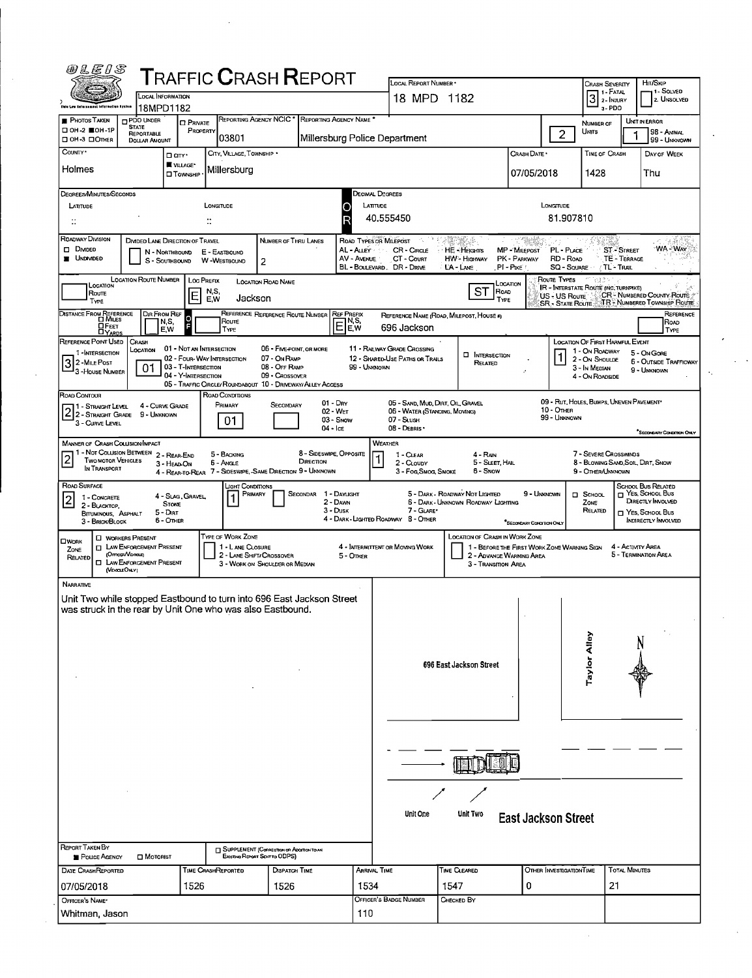| @LEIS                                                                 |                                                              |                                  | <b>TRAFFIC CRASH REPORT</b>                                              |                                                             |                                      |                             | LOCAL REPORT NUMBER .                                        |                                                                                      |                                        |                                                                                          |                                 |                                                     | HIT/SKIP                                                   |
|-----------------------------------------------------------------------|--------------------------------------------------------------|----------------------------------|--------------------------------------------------------------------------|-------------------------------------------------------------|--------------------------------------|-----------------------------|--------------------------------------------------------------|--------------------------------------------------------------------------------------|----------------------------------------|------------------------------------------------------------------------------------------|---------------------------------|-----------------------------------------------------|------------------------------------------------------------|
|                                                                       |                                                              | <b>LOCAL INFORMATION</b>         |                                                                          |                                                             |                                      |                             | 18 MPD 1182                                                  |                                                                                      |                                        |                                                                                          | <b>CRASH SEVERITY</b>           | $31-FATAL$                                          | 1 - Solved<br>2. UNSOLVED                                  |
| Dale Low Kafersament information Arstam<br><b>PHOTOS TAKEN</b>        | 18MPD1182<br>PDO UNDER                                       |                                  |                                                                          | <b>REPORTING AGENCY NCIC</b>                                | REPORTING AGENCY NAME *              |                             |                                                              |                                                                                      |                                        |                                                                                          |                                 | a-PDO                                               |                                                            |
| □ 0H-2 ■ 0H-1P                                                        | <b>STATE</b><br>REPORTABLE                                   | <b>D</b> PRIVATE<br>PROPERTY     | 03801                                                                    |                                                             |                                      |                             | Millersburg Police Department                                |                                                                                      |                                        | $\overline{2}$                                                                           | NUMBER OF<br><b>UNTS</b>        |                                                     | UNIT IN ERROR<br>98 - Aninal                               |
| □ OH-3 □ OTHER<br>Country .                                           | <b>DOLLAR AMOUNT</b>                                         | □ arr·                           | CITY, VILLAGE, TOWNSHIP *                                                |                                                             |                                      |                             |                                                              |                                                                                      | Crash Date *                           |                                                                                          | TIME OF CRASH                   |                                                     | 99 - UNKNOWN<br>DAY OF WEEK                                |
| Holmes                                                                |                                                              | VILLAGE*<br>□ Township           | Millersburg                                                              |                                                             |                                      |                             |                                                              |                                                                                      | 07/05/2018                             |                                                                                          | 1428                            |                                                     | Thu                                                        |
|                                                                       |                                                              |                                  |                                                                          |                                                             |                                      |                             |                                                              |                                                                                      |                                        |                                                                                          |                                 |                                                     |                                                            |
| DEGREES/MINUTES/SECONDS<br>LATITUDE                                   |                                                              |                                  | LONGITUDE                                                                |                                                             |                                      | <b>LATTUDE</b>              | DECIMAL DEGREES                                              |                                                                                      |                                        | <b>LONGITUDE</b>                                                                         |                                 |                                                     |                                                            |
| $\ddot{ }$                                                            |                                                              |                                  |                                                                          |                                                             |                                      | R                           | 40.555450                                                    |                                                                                      |                                        | 81.907810                                                                                |                                 |                                                     |                                                            |
| ROADWAY DIVISION                                                      | DIMDED LANE DIRECTION OF TRAVEL                              |                                  |                                                                          | NUMBER OF THRU LANES                                        |                                      |                             | ROAD TYPES OR MILEPOST                                       | 25839.6                                                                              | n San William                          |                                                                                          |                                 |                                                     |                                                            |
| <b>DIMOED</b><br><b>UNDIVIDED</b>                                     |                                                              | N - NORTHBOUND<br>S - SOUTHBOUND | E - EASTBOUND<br>W-WESTBOUND                                             | 2                                                           |                                      | AL - Auey<br>AV - AVENUE    | <b>CR-CIRCLE</b><br>CT - COURT<br>BL - BOULEVARD. DR - DRIVE | HE-Heights<br>HW - Highway<br>L'A - LANE                                             | MP MILEPOST<br>PK - PARKWAY<br>PI-Pike | PL - PLACE<br>RD - Road<br>SQ - SOUARE                                                   |                                 | <b>ST-STREET</b><br>TE - TERRACE<br><b>TL-Trail</b> | <b>WA-WAY</b>                                              |
|                                                                       | LOCATION ROUTE NUMBER                                        |                                  | Loc Prefix                                                               | LOCATION ROAD NAME                                          |                                      |                             |                                                              | LOCATION                                                                             |                                        | Route Types                                                                              | 39.IS                           |                                                     |                                                            |
| LOCATION<br><b>Route</b><br>TYPE                                      |                                                              | E                                | N.S.<br>Jackson<br>E,W                                                   |                                                             |                                      |                             |                                                              | <b>ST</b><br>ROAD<br><b>TYPE</b>                                                     |                                        | <b>IR - INTERSTATE ROUTE (INC. TURNPIKE)</b><br>US - US Route<br><b>SR - STATE ROUTE</b> |                                 |                                                     | CR - NUMBERED COUNTY ROUTE<br>TR - NUMBERED TOWNSHIP ROUTE |
| DISTANCE FROM REFERENCE                                               | <b>DIR FROM REF</b>                                          |                                  |                                                                          | REFERENCE REFERENCE ROUTE NUMBER                            |                                      | <b>REF PREFIX</b>           |                                                              | REFERENCE NAME (ROAD, MILEPOST, HOUSE #)                                             |                                        |                                                                                          |                                 |                                                     | REFERENCE                                                  |
| <b>H</b> FEET                                                         |                                                              | N,S,<br>F<br>E.W                 | Route<br>TYPE                                                            |                                                             |                                      | IN S.<br>EE,w               | 696 Jackson                                                  |                                                                                      |                                        |                                                                                          |                                 |                                                     | ROAD<br>TYPE                                               |
| REFERENCE POINT USED<br>1 - INTERSECTION                              | CRASH<br>Location                                            | 01 - NOT AN INTERSECTION         |                                                                          | 06 - FIVE-POINT, OR MORE                                    |                                      |                             | 11 - RAILWAY GRADE CROSSING                                  | <b>D</b> INTERSECTION                                                                |                                        |                                                                                          | 1 - On ROADWAY                  | <b>LOCATION OF FIRST HARMFUL EVENT</b>              | 5 - On Gore                                                |
| 2 - MILE POST<br>3 - House Number                                     | 01                                                           | 03 - T-INTERSECTION              | 02 - FOUR-WAY INTERSECTION                                               | 07 - On RAMP<br>08 - Off RAMP                               |                                      | 99 - UNKNOWN                | 12 - SHARED-USE PATHS OR TRAILS                              | RELATED                                                                              |                                        |                                                                                          | 2 - On Shoulde<br>3 - In Median |                                                     | <b>6 - OUTSIDE TRAFFICWAY</b><br>9 - UNKNOWN               |
|                                                                       |                                                              | 04 - Y-INTERSECTION              | 05 - TRAFFIC CIRCLE/ ROUNDABOUT 10 - DRIVEWAY/ ALLEY ACCESS              | 09 - Crossover                                              |                                      |                             |                                                              |                                                                                      |                                        |                                                                                          | 4 - On ROADSIDE                 |                                                     |                                                            |
| ROAD CONTOUR<br>1 - Straight Level                                    | 4 - CURVE GRADE                                              |                                  | ROAD CONDITIONS<br>PRIMARY                                               | SECONDARY                                                   | $01 - DRY$                           |                             | 05 - SAND, MUD, DIRT, OIL, GRAVEL                            |                                                                                      |                                        | 09 - RUT, HOLES, BUMPS, UNEVEN PAVEMENT*                                                 |                                 |                                                     |                                                            |
| $2 2$ - Straight Grade<br>3 - CURVE LEVEL                             | 9 - UNKNOWN                                                  |                                  | 01                                                                       |                                                             | 02 WET<br>03 - Snow                  |                             | 06 - WATER (STANDING, MOVING)<br>07 - SLUSH                  |                                                                                      |                                        | 10 - OTHER<br>99 - Unknown                                                               |                                 |                                                     |                                                            |
| <b>MANNER OF CRASH COLLISION/IMPACT</b>                               |                                                              |                                  |                                                                          |                                                             | 04 - Ice                             |                             | 08 - DEBRIS .<br>WEATHER                                     |                                                                                      |                                        |                                                                                          |                                 |                                                     | "SECONDARY CONDITION ONLY                                  |
| 1 - Not Collision Between 2 - Rear-End<br><b>TWO MOTOR VEHICLES</b>   |                                                              |                                  | 5 - BACKING                                                              |                                                             | 8 - SIDESWIPE, OPPOSITE<br>DIRECTION |                             | 1 CLEAR                                                      | 4 - RAN                                                                              |                                        |                                                                                          |                                 | 7 - SEVERE CROSSWINDS                               |                                                            |
| IN TRANSPORT                                                          |                                                              | 3 - HEAD ON                      | 6 - Angle<br>4 - REAR-TO-REAR 7 - SIDESWIPE, -SAME DIRECTION 9 - UNXNOWN |                                                             |                                      |                             | 2 - CLOUDY<br>3 - Fog, Smog, Smoke                           | 5 - SLEET, HAL<br>6 - Snow                                                           |                                        |                                                                                          | 9 - OTHER/UNKNOWN               |                                                     | 8 - BLOWING SAND, SOIL, DIRT, SNOW                         |
| ROAD SURFACE<br>1 - CONCRETE                                          |                                                              | 4 - Slag, Gravel,                | LIGHT CONDITIONS                                                         | PRIMARY                                                     | SECONDAR 1 - DAYLIGHT                |                             |                                                              | 5 - DARK - ROADWAY NOT LIGHTED                                                       | 9 - UNKNOWN                            |                                                                                          | $\Box$ SCHOOL                   |                                                     | <b>SCHOOL BUS RELATED</b><br>T YES, SCHOOL BUS             |
| 2<br>2 - BLACKTOP,<br>BITUMINOUS, ASPHALT                             |                                                              | <b>STONE</b><br>5 - Dirt         |                                                                          |                                                             | 2 - DAWN<br>3 - Dusk                 |                             | 7 - GLARE*                                                   | 6 - DARK - UNKNOWN ROADWAY LIGHTING                                                  |                                        |                                                                                          | ZONE<br>RELATED                 |                                                     | DIRECTLY INVOLVED<br>Nes, School Bus                       |
| 3 - BRICK/BLOCK                                                       |                                                              | 6 - OTHER                        |                                                                          |                                                             |                                      |                             | 4 - DARK - LIGHTED ROADWAY 8 - OTHER                         |                                                                                      | SECONDARY CONDITION ONLY               |                                                                                          |                                 |                                                     | INDIRECTLY INVOLVED                                        |
| <b>OWORK</b><br>ZONE                                                  | <b>D</b> WORKERS PRESENT<br><b>I LAW ENFORCEMENT PRESENT</b> |                                  | TYPE OF WORK ZONE<br>1 - LANE CLOSURE                                    |                                                             |                                      |                             | 4 - INTERMITTENT OR MOVING WORK                              | <b>LOCATION OF CRASH IN WORK ZONE</b><br>1 - BEFORE THE FIRST WORK ZONE WARNING SIGN |                                        |                                                                                          |                                 | 4 - Activity Area                                   |                                                            |
| RELATED                                                               | (Orncer Noncur)<br><b>INVENFORGEMENT PRESENT</b>             |                                  |                                                                          | 2 - LANE SHIFT/ CROSSOVER<br>3 - WORK ON SHOULDER OR MEDIAN |                                      | 5 - Other                   |                                                              | 2 - ADVANCE WARMING AREA<br>3 - TRANSITION AREA                                      |                                        |                                                                                          |                                 |                                                     | 5 - Termination Area                                       |
| <b>NARRATIVE</b>                                                      | (VD4GLEONLY)                                                 |                                  |                                                                          |                                                             |                                      |                             |                                                              |                                                                                      |                                        |                                                                                          |                                 |                                                     |                                                            |
| Unit Two while stopped Eastbound to turn into 696 East Jackson Street |                                                              |                                  |                                                                          |                                                             |                                      |                             |                                                              |                                                                                      |                                        |                                                                                          |                                 |                                                     |                                                            |
| was struck in the rear by Unit One who was also Eastbound.            |                                                              |                                  |                                                                          |                                                             |                                      |                             |                                                              |                                                                                      |                                        |                                                                                          |                                 |                                                     |                                                            |
|                                                                       |                                                              |                                  |                                                                          |                                                             |                                      |                             |                                                              |                                                                                      |                                        |                                                                                          |                                 |                                                     |                                                            |
|                                                                       |                                                              |                                  |                                                                          |                                                             |                                      |                             |                                                              |                                                                                      |                                        |                                                                                          | vior Alley                      |                                                     |                                                            |
|                                                                       |                                                              |                                  |                                                                          |                                                             |                                      |                             |                                                              | 696 East Jackson Street                                                              |                                        |                                                                                          |                                 |                                                     |                                                            |
|                                                                       |                                                              |                                  |                                                                          |                                                             |                                      |                             |                                                              |                                                                                      |                                        |                                                                                          |                                 |                                                     |                                                            |
|                                                                       |                                                              |                                  |                                                                          |                                                             |                                      |                             |                                                              |                                                                                      |                                        |                                                                                          |                                 |                                                     |                                                            |
|                                                                       |                                                              |                                  |                                                                          |                                                             |                                      |                             |                                                              |                                                                                      |                                        |                                                                                          |                                 |                                                     |                                                            |
|                                                                       |                                                              |                                  |                                                                          |                                                             |                                      |                             |                                                              |                                                                                      |                                        |                                                                                          |                                 |                                                     |                                                            |
|                                                                       |                                                              |                                  |                                                                          |                                                             |                                      |                             |                                                              |                                                                                      |                                        |                                                                                          |                                 |                                                     |                                                            |
|                                                                       |                                                              |                                  |                                                                          |                                                             |                                      |                             |                                                              |                                                                                      |                                        |                                                                                          |                                 |                                                     |                                                            |
|                                                                       |                                                              |                                  |                                                                          |                                                             |                                      |                             |                                                              |                                                                                      |                                        |                                                                                          |                                 |                                                     |                                                            |
|                                                                       |                                                              |                                  |                                                                          |                                                             |                                      |                             | Unit One                                                     | Unit Two                                                                             |                                        |                                                                                          |                                 |                                                     |                                                            |
|                                                                       |                                                              |                                  |                                                                          |                                                             |                                      |                             |                                                              |                                                                                      | <b>East Jackson Street</b>             |                                                                                          |                                 |                                                     |                                                            |
| REPORT TAKEN BY                                                       |                                                              |                                  |                                                                          | <b>TJ SUPPLEMENT (CORRECTION OR ADDITION TO AN</b>          |                                      |                             |                                                              |                                                                                      |                                        |                                                                                          |                                 |                                                     |                                                            |
| POLICE AGENCY                                                         | $\square$ Motorist                                           |                                  |                                                                          | Existing Report Sent to ODPS)                               |                                      |                             |                                                              |                                                                                      |                                        |                                                                                          |                                 |                                                     |                                                            |
| DATE CRASHREPORTED<br>07/05/2018                                      |                                                              | 1526                             | TIME CRASHREPORTED                                                       | DISPATCH TIME<br>1526                                       |                                      | <b>ARRIVAL TIME</b><br>1534 |                                                              | TIME CLEARED<br>1547                                                                 | 0                                      | OTHER INVESTIGATION TIME                                                                 |                                 | <b>TOTAL MINUTES</b><br>21                          |                                                            |
| OFFICER'S NAME*                                                       |                                                              |                                  |                                                                          |                                                             |                                      |                             | OFFICER'S BADGE NUMBER                                       | Снескер Ву                                                                           |                                        |                                                                                          |                                 |                                                     |                                                            |
| Whitman, Jason                                                        |                                                              |                                  |                                                                          |                                                             |                                      | 110                         |                                                              |                                                                                      |                                        |                                                                                          |                                 |                                                     |                                                            |

 $\epsilon_{\rm s}$ 

 $\sim$ 

 $\frac{1}{2}$ 

 $\hat{\mathcal{L}}$ 

 $\ddot{\phantom{a}}$ 

 $\hat{\mathcal{A}}$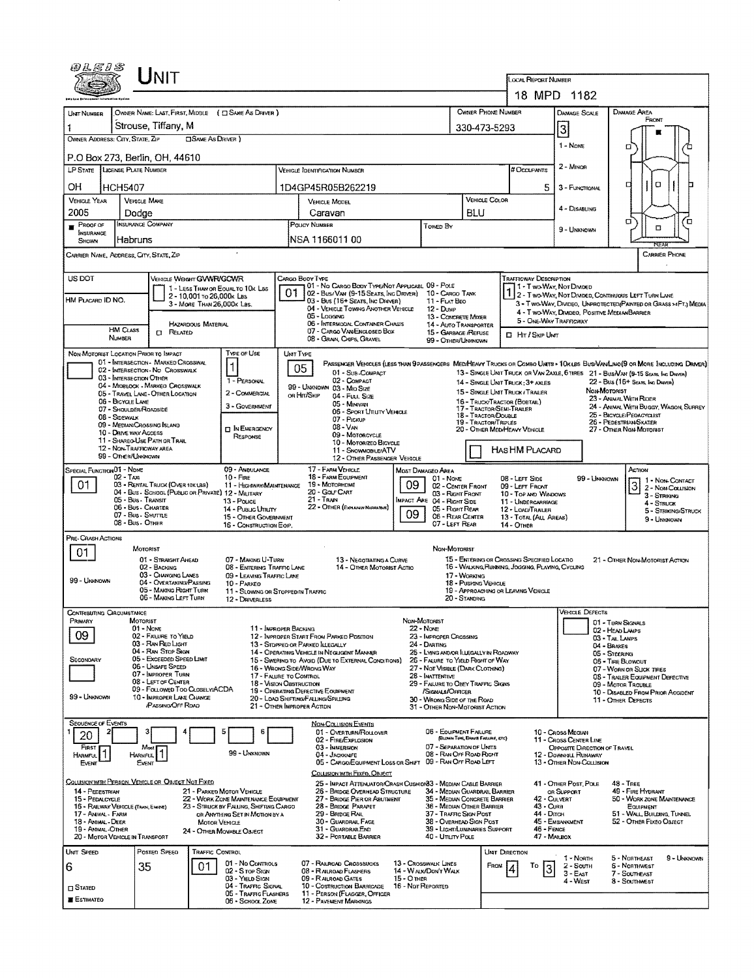|                                                         |                                                | Unit                                                                                    |                                                         |                                                                          |                                                                                                                                                |                   |                                                                       |                                  |                                                                                 | LOCAL REPORT NUMBER           | 18 MPD 1182                                                             |                                    |                                                                                                                            |                     |
|---------------------------------------------------------|------------------------------------------------|-----------------------------------------------------------------------------------------|---------------------------------------------------------|--------------------------------------------------------------------------|------------------------------------------------------------------------------------------------------------------------------------------------|-------------------|-----------------------------------------------------------------------|----------------------------------|---------------------------------------------------------------------------------|-------------------------------|-------------------------------------------------------------------------|------------------------------------|----------------------------------------------------------------------------------------------------------------------------|---------------------|
| UNIT NUMBER                                             |                                                |                                                                                         |                                                         | OWNER NAME: LAST, FIRST, MIDDLE ( C SAME AS DRIVER )                     |                                                                                                                                                |                   |                                                                       |                                  | OWNER PHONE NUMBER                                                              |                               | DAMAGE SCALE                                                            |                                    | DAMAGE AREA                                                                                                                |                     |
|                                                         |                                                | Strouse, Tiffany, M                                                                     |                                                         |                                                                          |                                                                                                                                                |                   |                                                                       | 330-473-5293                     |                                                                                 |                               |                                                                         |                                    | FRONT                                                                                                                      |                     |
| OWNER ADDRESS: CITY, STATE, ZIP                         |                                                |                                                                                         | <b>CISAME AS DRIVER</b> )                               |                                                                          |                                                                                                                                                |                   |                                                                       |                                  |                                                                                 |                               | 3<br>1 - Nove                                                           |                                    |                                                                                                                            |                     |
| P.O Box 273, Berlin, OH, 44610                          |                                                |                                                                                         |                                                         |                                                                          |                                                                                                                                                |                   |                                                                       |                                  |                                                                                 |                               |                                                                         |                                    | Ω                                                                                                                          |                     |
| LP STATE LICENSE PLATE NUMBER                           |                                                |                                                                                         |                                                         |                                                                          | VEHICLE IDENTIFICATION NUMBER                                                                                                                  |                   |                                                                       |                                  |                                                                                 | # OccuPANTS                   | $2 -$ Minon                                                             |                                    |                                                                                                                            |                     |
| OН                                                      | HCH5407                                        |                                                                                         |                                                         |                                                                          | 1D4GP45R05B262219                                                                                                                              |                   |                                                                       |                                  |                                                                                 | 5                             | 3 - FUNCTIONAL                                                          |                                    | α<br>П                                                                                                                     |                     |
| <b>VEHICLE YEAR</b>                                     | <b>VEHICLE MAKE</b>                            |                                                                                         |                                                         |                                                                          | <b>VEHICLE MODEL</b>                                                                                                                           |                   |                                                                       |                                  | VEHICLE COLOR                                                                   |                               | 4 - DISABLING                                                           |                                    |                                                                                                                            |                     |
| 2005<br>PROOF OF                                        | Dodge<br><b>INSURANCE COMPANY</b>              |                                                                                         |                                                         |                                                                          | Caravan<br>POUCY NUMBER                                                                                                                        |                   |                                                                       | BLU                              |                                                                                 |                               |                                                                         |                                    | α                                                                                                                          | ō                   |
| <b>INSURANCE</b><br><b>SHOWN</b>                        | Habruns                                        |                                                                                         |                                                         |                                                                          | NSA 1166011 00                                                                                                                                 |                   | Towed By                                                              |                                  |                                                                                 |                               | 9 - UNKNOWN                                                             |                                    | □                                                                                                                          |                     |
| CARRIER NAME, ADDRESS, CITY, STATE, ZIP                 |                                                |                                                                                         |                                                         |                                                                          |                                                                                                                                                |                   |                                                                       |                                  |                                                                                 |                               |                                                                         |                                    | REAR<br><b>CARRIER PHONE</b>                                                                                               |                     |
|                                                         |                                                |                                                                                         |                                                         |                                                                          |                                                                                                                                                |                   |                                                                       |                                  |                                                                                 |                               |                                                                         |                                    |                                                                                                                            |                     |
| US DOT                                                  |                                                | VEHICLE WEIGHT GVWR/GCWR                                                                |                                                         | 1 - LESS THAN OR EQUAL TO 10K LBS                                        | CARGO BODY TYPE<br>01 - No CARGO BODY TYPE/NOT APPLICABL 09 - POLE                                                                             |                   |                                                                       |                                  |                                                                                 | <b>TRAFFICWAY DESCRIPTION</b> | 1 - Two-Way, Nor Divided                                                |                                    |                                                                                                                            |                     |
| HM PLACARD ID NO.                                       |                                                |                                                                                         | 2 - 10,001 To 26,000k Las<br>3 - MORE THAN 26,000K LBS. |                                                                          | 02 - Bus/VAN (9-15 SEATS, INC DRIVER) 10 - CARGO TANK<br>03 - Bus (16+ Seats, Inc Driver)                                                      |                   | 11 - FLAT BEO                                                         |                                  |                                                                                 |                               |                                                                         |                                    | 1 2 - Two-Way, Not Divided, Continuous LEFT TURN LANE<br>3 - T WG-WAY, DIVIDEO, UNPROTECTED (PAINTED OR GRASS >4FT.) MEDIA |                     |
|                                                         |                                                |                                                                                         |                                                         |                                                                          | 04 - VEHICLE TOWING ANOTHER VEHICLE<br>05 - Logging                                                                                            |                   | 12 - Dump<br>13 - CONCRETE MIXER                                      |                                  |                                                                                 |                               | 4 - T WO-WAY, DIVIDEO, POSITIVE MEDIANBARRIER<br>5 - ONE-WAY TRAFFICWAY |                                    |                                                                                                                            |                     |
|                                                         | <b>HM CLASS</b><br>NUMBER                      | <b>CI RELATED</b>                                                                       | <b>HAZARDOUS MATERIAL</b>                               |                                                                          | 06 - INTERMODAL CONTAINER CHASIS<br>07 - CARGO VAN/ENCLOSED BOX                                                                                |                   | <b>14 - AUTO TRANSPORTER</b><br>15 - GARBAGE /REFUSE                  |                                  |                                                                                 | El Hit / Skip Unit            |                                                                         |                                    |                                                                                                                            |                     |
| NON-MOTORIST LOCATION PRIOR TO IMPACT                   |                                                |                                                                                         |                                                         | TYPE OF USE                                                              | 08 - GRAIN, CHIPS, GRAVEL                                                                                                                      |                   | 99 - OTHER/UNKNOWN                                                    |                                  |                                                                                 |                               |                                                                         |                                    |                                                                                                                            |                     |
|                                                         |                                                | 01 - INTERSECTION - MARKED CROSSWAL                                                     |                                                         | $\mathbf{1}$                                                             | UMT TYPE<br>PASSENGER VEHICLES (LESS THAN 9 PASSENGERS MEDIHEAVY TRUCKS OR COMBO UNITS > 10KLBS BUS/VAN/LIMO(9 OR MORE INCLUDING DRIVER)<br>05 |                   |                                                                       |                                  |                                                                                 |                               |                                                                         |                                    |                                                                                                                            |                     |
|                                                         | 03 - INTERSECTION OTHER                        | 02 - INTERSECTION - NO CROSSWALK                                                        |                                                         | 1 - PERSONAL                                                             | 01 - Sub-COMPACT<br>02 - COMPACT                                                                                                               |                   |                                                                       |                                  | 14 - SINGLE UNIT TRUCK: 3+ AXLES                                                |                               |                                                                         |                                    | 13 - SINGLE UNIT TRUCK OR VAN 2AXLE, 6 TIRES 21 - BUS/VAN (9-15 SEATS, INC DRIVER)<br>22 - BUS (16+ SEATS, INC DRIVER)     |                     |
|                                                         |                                                | 04 - MIOBLOCK - MARKED CROSSWALK<br>05 - TRAVEL LANE - OTHER LOCATION                   |                                                         | 2 - COMMERCIAL                                                           | 99 - UNKNOWN 03 - MIO SIZE<br>OR HIT/SKIP<br>04 - Fuu, Size                                                                                    |                   |                                                                       |                                  | 15 - SINGLE UNIT TRUCK / TRAILER                                                |                               |                                                                         | NON-MOTORIST                       | 23 - Animal With Rider                                                                                                     |                     |
|                                                         | 06 - BICYCLE LANE<br>07 - Shoulder/Roadside    |                                                                                         |                                                         | 3 - GOVERNMENT                                                           | 05 - MINIVAN<br>06 - Sport Uttury Venicle                                                                                                      |                   |                                                                       |                                  | 16 - TRUCK/TRACTOR (BOSTAL)<br>17 - TRACTOR/SEMI-TRAILER<br>18 - TRACTOR/DOUBLE |                               |                                                                         |                                    | 24 - ANIMAL WITH BUGGY, WAGON, SURREY<br>25 - BICYCLE/PEDACYCLIST                                                          |                     |
|                                                         | 08 - SIDEWALK<br>09 - MEDIAN/CROSSING ISLAND   |                                                                                         |                                                         | <b>IT IN EMERGENCY</b>                                                   | 07 - Pickup<br>08 - V <sub>AN</sub>                                                                                                            |                   |                                                                       |                                  | 19 - TRACTOR/TRIPLES<br>20 - OTHER MEDIHEAVY VEHICLE                            |                               |                                                                         |                                    | 26 - PEDESTRIAN SKATER<br>27 - OTHER NON-MOTORIST                                                                          |                     |
|                                                         | 10 - DRIVE WAY ACCESS                          | 11 - SHAREO-USE PATH OR TRAIL                                                           |                                                         | RESPONSE                                                                 | 09 - MOTORCYCLE<br>10 - Motorizeo Bicycle                                                                                                      |                   |                                                                       |                                  |                                                                                 |                               |                                                                         |                                    |                                                                                                                            |                     |
|                                                         | 12 - NON-TRAFFICWAY AREA<br>99 - OTHER/UNKNOWN |                                                                                         |                                                         |                                                                          | 11 - SNOWMOBILE/ATV<br>12 - OTHER PASSENGER VEHICLE                                                                                            |                   |                                                                       |                                  | HAS HM PLACARD                                                                  |                               |                                                                         |                                    |                                                                                                                            |                     |
| SPECIAL FUNCTION 01 - NOME                              | 02 - Тах                                       |                                                                                         |                                                         | 09 - AMBULANCE<br>$10 -$ Fine                                            | 17 - FARM VEHICLE<br>18 - FARM EQUIPMENT                                                                                                       |                   | <b>MOST DAMAGEO AREA</b><br>$01 - None$                               |                                  | 08 - LEFT SIDE                                                                  |                               | 99 - Unknown                                                            |                                    | ACTION<br>1 - NON-CONTACT                                                                                                  |                     |
| 01                                                      |                                                | 03 - RENTAL TRUCK (OVER 10K LBS)<br>04 - Bus - School (Public or Private) 12 - Military |                                                         | 11 - HIGHWAY/MAINTENANCE                                                 | 19 - Мотовноме<br>20 - GOLF CART                                                                                                               | 09                | 03 - Right FRONT                                                      | 02 - CENTER FRONT                | 09 - LEFT FRONT                                                                 | 10 - Top AND WINDOWS          |                                                                         |                                    | $3 2 - \text{Non-Caussian}$<br>3 - STRIKING                                                                                |                     |
|                                                         | 05 - Bus - Transit<br>06 - Bus - Charter       |                                                                                         |                                                         | $13 -$ Pouce<br>14 - Pusuc Ununy                                         | 21 - TRAN<br>22 - OTHER (EXPLAININ NARRATIVE)                                                                                                  |                   | IMPACT ARE 04 - RIGHT SIDE<br>05 - Right Rear                         |                                  | 12 - LOAD/TRAILER                                                               | 11 - UNDERCARRIAGE            |                                                                         |                                    | 4 - STRUCK                                                                                                                 | 5 - STRIKING/STRUCK |
|                                                         | 07 - Bus - SHUTTLE<br>08 - Bus - OTHER         |                                                                                         |                                                         | 15 - OTHER GOVERNMENT<br>16 - CONSTRUCTION EQP.                          |                                                                                                                                                | 09                | 07 - LEFT REAR                                                        | 06 - REAR CENTER                 | 14 - Отнев                                                                      | 13 - TOTAL (ALL AREAS)        |                                                                         |                                    | 9 - UNKNOWN                                                                                                                |                     |
| PRE-CRASH ACTIONS                                       |                                                |                                                                                         |                                                         |                                                                          |                                                                                                                                                |                   |                                                                       |                                  |                                                                                 |                               |                                                                         |                                    |                                                                                                                            |                     |
| 01                                                      | <b>MOTORIST</b>                                | 01 - STRAIGHT AHEAD                                                                     |                                                         | 07 - MAKING U-TURN                                                       | 13 - NEGOTIATING A CURVE                                                                                                                       |                   | NON-MOTORIST                                                          |                                  | 15 - ENTERING OR CROSSING SPECIFIED LOCATIO                                     |                               |                                                                         |                                    | 21 - OTHER NON-MOTORIST ACTION                                                                                             |                     |
|                                                         |                                                | 02 - BACKING<br>03 - CHANGING LANES                                                     |                                                         | 08 - ENTERING TRAFFIC LANE<br>09 - LEAVING TRAFFIC LANE                  | 14 - OTHER MOTORIST ACTIO                                                                                                                      |                   |                                                                       | 17 - WORKING                     | 16 - WALKING, RUNNING, JOGGING, PLAYING, CYCLING                                |                               |                                                                         |                                    |                                                                                                                            |                     |
| 99 - Unknown                                            |                                                | 04 - OVERTAKING/PASSING<br>05 - MAKING RIGHT TURN                                       |                                                         | 10 - PARKEO<br>11 - SLOWING OR STOPPED IN TRAFFIC                        |                                                                                                                                                |                   |                                                                       | 18 - Pushtng Vehicle             | 19 - APPROACHING OR LEAVING VEHICLE                                             |                               |                                                                         |                                    |                                                                                                                            |                     |
|                                                         |                                                | 06 - MAKING LEFT TURN                                                                   |                                                         | 12 - DRIVERLESS                                                          |                                                                                                                                                |                   |                                                                       | 20 - STANDING                    |                                                                                 |                               |                                                                         |                                    |                                                                                                                            |                     |
| <b>CONTRIBUTING CIRCUMSTANCE</b><br>PRIMARY             | MOTORIST                                       |                                                                                         |                                                         |                                                                          |                                                                                                                                                | NON-MOTORIST      |                                                                       |                                  |                                                                                 |                               | <b>VEHICLE DEFECTS</b>                                                  | 01 - TURN SIGNALS                  |                                                                                                                            |                     |
| 09                                                      | 01 - Nove                                      | 02 - FALURE TO YIELD                                                                    |                                                         | 11 - IMPROPER BACKING                                                    | 12 - IMPROPER START FROM PARKED POSTION                                                                                                        |                   | 22 - None<br>23 - IMPROPER CROSSING                                   |                                  |                                                                                 |                               |                                                                         | 02 - HEAD LAMPS<br>03 - TAIL LAMPS |                                                                                                                            |                     |
|                                                         |                                                | 03 - Ran Red Light<br>04 - RAN STOP SIGN                                                |                                                         |                                                                          | 13 - STOPPEO OR PARKED LLEGALLY<br>14 - Operating Vehicle in Negligent Manner                                                                  |                   | 24 - DARTING<br>25 - LYING AND/OR ILLEGALLY IN ROADWAY                |                                  |                                                                                 |                               |                                                                         | 04 - BRAKES<br>05 - Steerung       |                                                                                                                            |                     |
| SECONDARY                                               |                                                | 05 - Exceeped Speed LIMIT<br>06 - UNSAFE SPEED<br>07 - IMPROPER TURN                    |                                                         |                                                                          | 15 - SWERING TO AVOID (DUE TO EXTERNAL CONDITIONS)<br>16 - Wrong Side/Wrong Way                                                                |                   | 26 - FALURE TO YIELD RIGHT OF WAY<br>27 - Not Visible (DARK CLOTHING) |                                  |                                                                                 |                               |                                                                         | 06 - TIRE BLOWOUT                  | 07 - WORN OR SLICK TIRES                                                                                                   |                     |
|                                                         |                                                | 08 - LEFT OF CENTER<br>09 - FOLLOWED TOO CLOSELY/ACDA                                   |                                                         | 17 - FALURE TO CONTROL<br>18 - Vision Obstruction                        |                                                                                                                                                |                   | 28 - INATTENTIVE<br>29 - FAILURE TO OBEY TRAFFIC SIGNS                |                                  |                                                                                 |                               |                                                                         |                                    | 08 - TRAILER EQUIPMENT DEFECTIVE<br>09 - Motor Trouble                                                                     |                     |
| 99 - UNKNOWN                                            |                                                | 10 - IMPROPER LANE CHANGE<br><b>/PASSING/OFF ROAD</b>                                   |                                                         |                                                                          | 19 - OPERATING DEFECTIVE EQUIPMENT<br>20 - LOAD SHIFTING/FALLING/SPILLING<br>21 - OTHER IMPROPER ACTION                                        |                   | /Signals/Officer<br>30 - WRONG SIDE OF THE ROAD                       |                                  |                                                                                 |                               |                                                                         |                                    | 10 - DISABLED FROM PRIOR ACCIDENT<br>11 - OTHER DEFECTS                                                                    |                     |
|                                                         |                                                |                                                                                         |                                                         |                                                                          |                                                                                                                                                |                   | 31 - OTHER NON-MOTORIST ACTION                                        |                                  |                                                                                 |                               |                                                                         |                                    |                                                                                                                            |                     |
| SEQUENCE OF EVENTS<br>2<br>20                           |                                                |                                                                                         |                                                         | 5<br>6                                                                   | <b>NON-COLLISION EVENTS</b><br>01 - OVERTURN/ROLLOVER                                                                                          |                   | 06 - EQUIPMENT FAILURE                                                | (BLOWN TIRE, BRAKE FAILURE, ETC) |                                                                                 |                               | 10 - CROSS MEOIAN                                                       |                                    |                                                                                                                            |                     |
| FIRST                                                   | Most                                           |                                                                                         |                                                         | 99 - Unknown                                                             | 02 - FIRE/EXPLOSION<br>03 - IMMERSION                                                                                                          |                   | 07 - SEPARATION OF UNITS                                              |                                  |                                                                                 |                               | 11 - Cross Center Line<br>OPPOSITE DIRECTION OF TRAVEL                  |                                    |                                                                                                                            |                     |
| HARMFUL<br>Event                                        | <b>HARMFUL</b><br>Even                         |                                                                                         |                                                         |                                                                          | 04 - JACKKNIFE<br>05 - CARGO/EQUIPMENT LOSS OR SHIFT                                                                                           |                   | 08 - RAN OFF ROAD RIGHT<br>09 - RAN OFF ROAD LEFT                     |                                  |                                                                                 |                               | 12 - Downrau, Runaway<br>13 - OTHER NDN-COLLISION                       |                                    |                                                                                                                            |                     |
| COLLISION WITH PERSON, VEHICLE OR OBJECT NOT FIXED      |                                                |                                                                                         |                                                         |                                                                          | COLLISION WITH FIXED, OBJECT<br>25 - IMPACT ATTENUATOR/CRASH CUSHION33 - MEDIAN CABLE BARRIER                                                  |                   |                                                                       |                                  |                                                                                 |                               | 41 - OTHER POST, POLE                                                   |                                    | <b>48 - TREE</b>                                                                                                           |                     |
| 14 - PEDESTRIAN<br>15 - PEDALCYCLE                      |                                                |                                                                                         |                                                         | 21 - PARKED MOTOR VEHICLE<br>22 - WORK ZONE MAINTENANCE EOUPMENT         | 26 - BRIDGE OVERHEAD STRUCTURE<br>27 - Bridge Pier or Abutment                                                                                 |                   | 34 - MEDIAN GUARDRAIL BARRIER<br>35 - Median Concrete Barrier         |                                  |                                                                                 | 42 - CULVERT                  | OR SUPPORT                                                              |                                    | 49 - FIRE HYDRANT<br>50 - WORK ZONE MAINTENANCE                                                                            |                     |
| 16 - RAILWAY VEHICLE (TRAN, EHSPE)<br>17 - Annal - Farm |                                                |                                                                                         |                                                         | 23 - STRUCK BY FALLING, SHIFTING CARGO<br>OR ANYTHING SET IN MOTION BY A | 28 - Bridge Parapet<br>29 - BRIDGE RAIL                                                                                                        |                   | 36 - Median Other Barrier<br>37 - TRAFFIC SIGN POST                   |                                  |                                                                                 | 43 - Cura<br>44 - Опон        |                                                                         |                                    | EQUIPMENT<br>51 - WALL, BUILDING, TUNNEL                                                                                   |                     |
| 18 - ANIMAL DEER<br>19 - ANIMAL-OTHER                   |                                                |                                                                                         | <b>MOTOR VEHICLE</b>                                    | 24 - OTHER MOVABLE OBJECT                                                | 30 - GUARDRAIL FACE<br>31 - GUARDRAILEND                                                                                                       |                   | 38 - Overhead Sign Post<br>39 - LIGHT/LUMINARIES SUPPORT              |                                  |                                                                                 | 46 - FENCE                    | 45 - EMBANKMENT                                                         |                                    | 52 - OTHER FIXEO OBJECT                                                                                                    |                     |
| 20 - MOTOR VEHICLE IN TRANSPORT                         |                                                |                                                                                         |                                                         |                                                                          | 32 - PORTABLE BARRIER                                                                                                                          |                   | 40 - UTILITY POLE                                                     |                                  |                                                                                 | 47 - MAILBOX                  |                                                                         |                                    |                                                                                                                            |                     |
| UNIT SPEED                                              |                                                | Posten Speen                                                                            | <b>TRAFFIC CONTROL</b>                                  | 01 - No CONTROLS                                                         | 07 - RAILROAD CROSSBUCKS                                                                                                                       |                   | 13 - Crosswalk Lines                                                  |                                  | UNIT DIRECTION                                                                  |                               | 1 - North                                                               |                                    | 5 - Northeast                                                                                                              | 9 - UNKNOWN         |
| 6                                                       | 35                                             |                                                                                         | 01                                                      | 02 - S TOP SIGN<br>03 - YIELD SIGN                                       | 08 - RAILROAD FLASHERS<br>09 - RALROAD GATES                                                                                                   | 15 - О теп        | 14 - WALK/DON'T WALK                                                  |                                  | From                                                                            | Ιo                            | 2 - South<br>3 - East                                                   |                                    | <b>6 - NORTINVEST</b><br>7 - Southeast                                                                                     |                     |
| $\square$ Stated                                        |                                                |                                                                                         |                                                         | 04 - TRAFFIC SIGNAL<br>05 - Traffic Flashers                             | 10 - Costruction Barricade<br>11 - PERSON (FLAGGER, OFFICER                                                                                    | 16 - Not Reported |                                                                       |                                  |                                                                                 |                               | 4 - West                                                                |                                    | 8 - SouthMEST                                                                                                              |                     |
| <b>ESTIMATEO</b>                                        |                                                |                                                                                         |                                                         | 06 - SCHOOL ZONE                                                         | 12 - PAVEMENT MARKINGS                                                                                                                         |                   |                                                                       |                                  |                                                                                 |                               |                                                                         |                                    |                                                                                                                            |                     |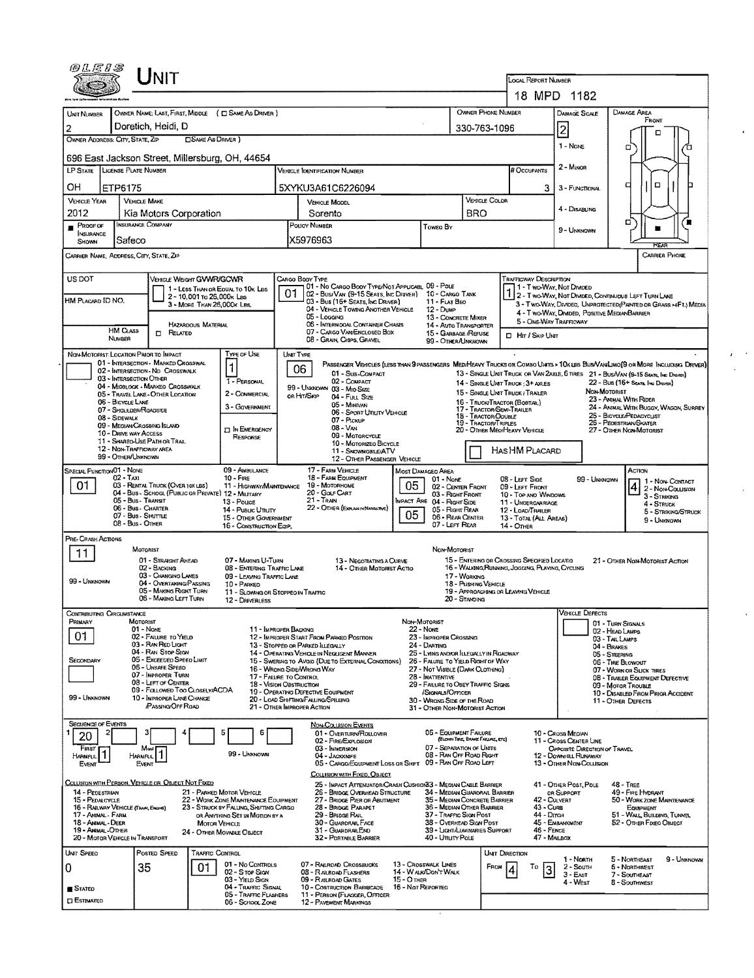| 用几尾几器                                   |                       | Unit                                                                                    |                            |                                                                                |    |                                                                                                                                          |                                  |                                                                            |                                             |                |                                                                      |                                                                                                                  |                                      |                                                              |                                       |
|-----------------------------------------|-----------------------|-----------------------------------------------------------------------------------------|----------------------------|--------------------------------------------------------------------------------|----|------------------------------------------------------------------------------------------------------------------------------------------|----------------------------------|----------------------------------------------------------------------------|---------------------------------------------|----------------|----------------------------------------------------------------------|------------------------------------------------------------------------------------------------------------------|--------------------------------------|--------------------------------------------------------------|---------------------------------------|
|                                         |                       |                                                                                         |                            |                                                                                |    |                                                                                                                                          |                                  |                                                                            |                                             |                | LOCAL REPORT NUMBER                                                  |                                                                                                                  |                                      |                                                              |                                       |
|                                         |                       |                                                                                         |                            |                                                                                |    |                                                                                                                                          |                                  |                                                                            |                                             |                |                                                                      | 18 MPD 1182                                                                                                      |                                      |                                                              |                                       |
| UNIT NUMBER                             |                       |                                                                                         |                            | OWNER NAME: LAST, FIRST, MIDDLE ( E SAME AS DRIVER )                           |    |                                                                                                                                          |                                  |                                                                            | <b>OWNER PHONE NUMBER</b>                   |                |                                                                      | Damage Scale                                                                                                     |                                      | DAMAGE AREA<br>FRONT                                         |                                       |
| 2<br>OWNER ADDRESS: CITY, STATE, ZIP    |                       | Doretich, Heidi, D                                                                      | <b>CISAME AS DRIVER</b> )  |                                                                                |    |                                                                                                                                          |                                  |                                                                            | 330-763-1096                                |                |                                                                      | 2                                                                                                                |                                      |                                                              |                                       |
|                                         |                       | 696 East Jackson Street, Millersburg, OH, 44654                                         |                            |                                                                                |    |                                                                                                                                          |                                  |                                                                            |                                             |                |                                                                      | 1 - None                                                                                                         | α                                    |                                                              |                                       |
| LP STATE LICENSE PLATE NUMBER           |                       |                                                                                         |                            |                                                                                |    | <b>VEHICLE IDENTIFICATION NUMBER</b>                                                                                                     |                                  |                                                                            |                                             |                | # Occupants                                                          | 2 - Minor                                                                                                        |                                      |                                                              |                                       |
| OН                                      | ETP6175               |                                                                                         |                            |                                                                                |    | 5XYKU3A61C6226094                                                                                                                        |                                  |                                                                            |                                             |                | 3.                                                                   | 3 - FUNCTIONAL                                                                                                   | а                                    | $\Box$                                                       |                                       |
| <b>VEHICLE YEAR</b>                     |                       | <b>VEHICLE MAKE</b>                                                                     |                            |                                                                                |    | <b>VEHICLE MODEL</b>                                                                                                                     |                                  |                                                                            | VEHICLE COLOR                               |                |                                                                      | 4 - DISABLING                                                                                                    |                                      |                                                              |                                       |
| 2012<br>$P$ ROOF OF                     |                       | Kia Motors Corporation<br>INSURANCE COMPANY                                             |                            |                                                                                |    | Sorento<br>POUCY NUMBER                                                                                                                  |                                  |                                                                            | <b>BRO</b>                                  |                |                                                                      |                                                                                                                  | □                                    |                                                              |                                       |
| INSURANCE<br>SHOWN                      | Safeco                |                                                                                         |                            |                                                                                |    | X5976963                                                                                                                                 |                                  | Toweo By                                                                   |                                             |                |                                                                      | 9 - Unixnown                                                                                                     |                                      |                                                              |                                       |
|                                         |                       | CARRIER NAME, ADDRESS, CITY, STATE, ZIP                                                 |                            |                                                                                |    |                                                                                                                                          |                                  |                                                                            |                                             |                |                                                                      |                                                                                                                  |                                      | <b>CARRIER PHONE</b>                                         |                                       |
| US DOT                                  |                       | VEHICLE WEIGHT GWWR/GCWR                                                                |                            |                                                                                |    | CARGO BODY TYPE                                                                                                                          |                                  |                                                                            |                                             |                | <b>TRAFFICWAY DESCRIPTION</b>                                        |                                                                                                                  |                                      |                                                              |                                       |
|                                         |                       |                                                                                         | 2 - 10,001 to 26,000x Las  | 1 - LESS THAN OR EQUAL TO 10K LBS                                              | 01 | 01 - No CARGO BODY TYPE/NOT APPLICABL 09 - POLE<br>02 - Bus/VAN (9-15 SEATS, INC DRIVER) 10 - CARGO TANK                                 |                                  |                                                                            |                                             |                |                                                                      | 1 - Two-Way, Not Divideo<br>2 - Two-Way, Not Divided, Continuous LEFT TURN LAKE                                  |                                      |                                                              |                                       |
| HM PLACARD ID NO.                       |                       |                                                                                         | 3 - MORE THAN 26,000K LBS. |                                                                                |    | 03 - Bus (16+ Seats, Inc Driver)<br>04 - VEHICLE TOWING ANOTHER VEHICLE                                                                  |                                  | $11 -$ FLAT BEO<br>12 - Dump                                               |                                             |                |                                                                      | 3 - Two-Way, Divided. Unprotected (Painted or Grass >4FT.) Media<br>4 - Two-Way, Divided, Positive MedianBarrier |                                      |                                                              |                                       |
|                                         | HM CLASS              |                                                                                         | <b>HAZARDOUS MATERIAL</b>  |                                                                                |    | 05 - Logging<br>06 - INTERMOOAL CONTAINER CHASIS<br>07 - CARGO VAN/ENGLOSED BOX                                                          |                                  | 13 - CONCRETE MIXER<br>14 - AUTO TRANSPORTER                               |                                             |                | 5 - ONE-WAY TRAFFICWAY                                               |                                                                                                                  |                                      |                                                              |                                       |
|                                         | <b>NUMBER</b>         | <b>CT</b> RELATED                                                                       |                            |                                                                                |    | 08 - GRAIN, CHIPS, GRAVEL                                                                                                                |                                  | 15 - GARBAGE /REFUSE<br>99 - OTHER/UNKNOWN                                 |                                             |                | <b>D</b> Hr / Skip Ukar                                              |                                                                                                                  |                                      |                                                              |                                       |
|                                         |                       | NON-MOTORIST LOCATION PRIOR TO IMPACT<br>01 - INTERSECTION - MARKED CROSSWAL            |                            | TYPE OF USE                                                                    |    | UNIT TYPE<br>PASSENGER VEHICLES (LESS THAN 9 PASSENGERS MEDIMEANY TRUCKS OR COMBO UNTS > 10K LBS BUS/VANLIMO(9 OR MORE INCLUDING DRIVER) |                                  |                                                                            |                                             |                |                                                                      |                                                                                                                  |                                      |                                                              |                                       |
|                                         |                       | 02 - INTERSECTION - NO CROSSWALK<br>03 - INTERSECTION OTHER                             |                            | 1<br>1 - PERSONAL                                                              |    | 06<br>01 - Sus-Compact<br>02 - COMPACT                                                                                                   |                                  |                                                                            |                                             |                |                                                                      | 13 - SINGLE UNIT TRUCK OR VAN 24XLE, 6 TIRES 21 - BUS/VAN (9-15 SEATE, INC DRIVER)                               |                                      |                                                              |                                       |
|                                         |                       | 04 - MIDBLOCK - MARKEO CROSSWALK<br>05 - TRAVEL LANE - OTHER LOCATION                   |                            | 2 - COMMERCIAL                                                                 |    | 99 - Unknown 03 - Mio Size<br>OR HIT/SKIP<br>04 - Full Size                                                                              |                                  |                                                                            |                                             |                | 14 - SINGLE UNIT THUCK: 3+ AXLES<br>15 - SINGLE UNIT TRUCK / TRAILER |                                                                                                                  | NON-MOTORIST                         | 22 - Bus (16+ Sears, Ing Drever)                             |                                       |
|                                         | 06 - BICYCLE LANE     | 07 - Shoulder/Roadside                                                                  |                            | 3 - GOVERNMENT                                                                 |    | 05 - Minivan<br>06 - SPORT UTILITY VEHICLE                                                                                               |                                  |                                                                            | 17 - TRACTOR/SEMI-TRAILER                   |                | 16 - TRUCK/TRACTOR (BOBTAIL)                                         |                                                                                                                  |                                      | 23 - AMMAL WITH RIDER<br>25 - BICYCLE/PEDACYCLIST            | 24 - ANIMAL WITH BUGGY, WAGON, SURREY |
|                                         | 08 - SIDEWALK         | 09 - MEDIAN CROSSING ISLAND                                                             |                            | <b>D</b> IN EMERGENCY                                                          |    | 07 - PICKUP<br><b>08 - VAN</b>                                                                                                           |                                  |                                                                            | 18 - TRACTOR/DOUBLE<br>19 - TRACTOR/TRIPLES |                | 20 - OTHER MEOPHEAVY VEHICLE                                         |                                                                                                                  |                                      | 26 - PEDESTRIAN SKATER<br>27 - OTHER NON-MOTORIST            |                                       |
|                                         | 10 - DRIVE WAY ACCESS | 11 - SHARED-USE PATH OR TRAIL                                                           |                            | RESPONSE                                                                       |    | 09 - MOTORCYCLE<br>10 - MOTORIZEO BICYCLE                                                                                                |                                  |                                                                            |                                             |                |                                                                      |                                                                                                                  |                                      |                                                              |                                       |
|                                         | 99 - OTHER/UNKNOWN    | 12 - NON-TRAFFICWAY AREA                                                                |                            |                                                                                |    | 11 - SNOWMOBILE/ATV<br>12 - OTHER PASSENGER VEHICLE                                                                                      |                                  |                                                                            |                                             |                | HAS HM PLACARD                                                       |                                                                                                                  |                                      |                                                              |                                       |
| SPECIAL FUNCTION 01 - NONE              | $02 - TAX1$           |                                                                                         |                            | 09 - AMBULANCE<br>$10 -$ FiRE                                                  |    | 17 - FARM VEHICLE<br>18 - FARM EQUIPMENT                                                                                                 |                                  | MOST DAMAGED AREA<br>01 - None                                             |                                             |                | 08 - LEFT SIDE                                                       | 99 - Unknown                                                                                                     |                                      | Астюм                                                        | 1 - Non-Contact                       |
| 01                                      |                       | 03 - RENTAL TRUCK (OVER 10K LBS)<br>04 - Bus - School (Public or Private) 12 - Military |                            | 11 - HIGHWAY/MAINTENANCE                                                       |    | 19 - Мотопноме<br>20 - GOLF CART                                                                                                         | 05                               | 02 - CENTER FRONT<br>03 - RIGHT FRONT                                      |                                             |                | 09 - LEFT FRONT<br>10 - Top and Windows                              |                                                                                                                  |                                      | $4 2 - \text{Non-Cousson}$<br>3 - STRIKING                   |                                       |
|                                         |                       | 05 - Bus - Transit<br>06 - Bus - Charter                                                |                            | 13 - Pouce<br>14 - Pusuc Unury                                                 |    | 21 - TRAIN<br>22 - OTHER (EXPLAN IN NARRATIVE)                                                                                           | 05                               | <b>IMPACT ARE 04 - RIGHT SIDE</b><br>05 - RIGHT REAR                       |                                             |                | 11 - UNOERCARRIAGE<br>12 - LOAD/TRAILER                              |                                                                                                                  |                                      | 4 - STRUCK                                                   | 5 - STRIKING/STRUCK                   |
|                                         |                       | 07 - Bus - SHUTTLE<br>08 - Bus - OTHER                                                  |                            | 15 - OTHER GOVERNMENT<br>16 - CONSTRUCTION EQIP.                               |    |                                                                                                                                          |                                  | 06 - REAR CENTER<br>07 - LEFT REAR                                         |                                             |                | 13 - TOTAL (ALL AREAS)<br>14 - OTHER                                 |                                                                                                                  |                                      | 9 - UNKNOWN                                                  |                                       |
| PRE-CRASH ACTIONS                       |                       | MOTORIST                                                                                |                            |                                                                                |    |                                                                                                                                          |                                  | NON-MOTORIST                                                               |                                             |                |                                                                      |                                                                                                                  |                                      |                                                              |                                       |
| 11                                      |                       | 01 - STRAIGHT AHEAD                                                                     |                            | 07 - MAKING U-TURN                                                             |    | 13 - NECOTIATING A CURVE                                                                                                                 |                                  |                                                                            |                                             |                | 15 - ENTERING OR CROSSING SPECIFIED LOCATIO                          |                                                                                                                  |                                      | 21 - OTHER NON-MOTORIST ACTION                               |                                       |
| 99 - UNKNOWN                            |                       | 02 - BACKING<br>03 - CHANGING LANES<br>04 - OVERTAKING/PASSING                          |                            | 08 - ENTERING TRAFFIC LANE<br>09 - LEAVING TRAFFIC LANE                        |    | 14 - OTHER MOTORIST ACTIO                                                                                                                |                                  |                                                                            | 17 - WORKING<br>18 - PUSHING VEHICLE        |                | 16 - WALKING, RUNNING, JOSGING, PLAYING, CYCLING                     |                                                                                                                  |                                      |                                                              |                                       |
|                                         |                       | 05 - MAKING RIGHT TURN<br>06 - MAKING LEFT TURN                                         |                            | 10 - PARKED<br>11 - Slowing or Stopped in Traffic<br>12 - DRIVERLESS           |    |                                                                                                                                          |                                  |                                                                            | 20 - STANDING                               |                | 19 - APPROACHING OR LEAVING VEHICLE                                  |                                                                                                                  |                                      |                                                              |                                       |
| CONTRIBUTING CIRCUMSTANCE               |                       |                                                                                         |                            |                                                                                |    |                                                                                                                                          |                                  |                                                                            |                                             |                |                                                                      | <b>VEHICLE DEFECTS</b>                                                                                           |                                      |                                                              |                                       |
| PRIMARY                                 |                       | MOTORIST<br>01 - Nove                                                                   |                            | 11 - IMPROPER BACKING                                                          |    |                                                                                                                                          | Non-Motorist                     | <b>22 - None</b>                                                           |                                             |                |                                                                      |                                                                                                                  | 01 - TURN SIGNALS<br>02 - HEAD LAMPS |                                                              |                                       |
| 01                                      |                       | 02 - FAILURE TO YIELD<br>03 - RAN RED LIGHT                                             |                            |                                                                                |    | 12 - IMPROPER START FROM PARKED POSTTON<br>13 - Stopped or PARKED LLEGALLY                                                               |                                  | 23 - IMPROPER CROSSING<br>24 - DARTING                                     |                                             |                |                                                                      |                                                                                                                  | 03 - TAIL LAMPS<br>04 - BRAKES       |                                                              |                                       |
| SECONDARY                               |                       | 04 - RAN STOP SIGN<br>05 - Exceeded Speed Limit                                         |                            |                                                                                |    | 14 - Operating Vehicle in Negligent Manner<br>15 - Swering to Avoid (DUE TO EXTERNAL CONDITIONS)                                         |                                  | 25 - LYING AND/OR LLEGALLY IN ROADWAY<br>26 - FALURE TO YIELD RIGHT OF WAY |                                             |                |                                                                      |                                                                                                                  | 05 - STEERING<br>06 - TIRE BLOWOUT   |                                                              |                                       |
|                                         |                       | 06 - UNSAFE SPEEO<br>07 - IMPROPER TURN                                                 |                            | 17 - FALURE TO CONTROL                                                         |    | 16 - WRONG SIDE/WRONG WAY                                                                                                                |                                  | 27 - NOT VISIBLE (DARK CLOTHING)<br>28 - INATTENTIVE                       |                                             |                |                                                                      |                                                                                                                  |                                      | 07 - WORN OR SLICK TIRES<br>08 - TRAILER EQUIPMENT DEFECTIVE |                                       |
| 99 - Unknown                            |                       | 08 - LEFT OF CENTER<br>09 - FOLLOWED TOO CLOSELY/ACDA<br>10 - IMPROPER LANE CHANGE      |                            | <b>18 - VISION OBSTRUCTION</b>                                                 |    | 19 - OPERATING DEFECTIVE EQUIPMENT                                                                                                       |                                  | 29 - FAILURE TO OBEY TRAFFIC SIGNS<br>/SIGNALS/OFFICER                     |                                             |                |                                                                      |                                                                                                                  | 09 - MOTOR TROUBLE                   | 10 - DISABLED FROM PRIOR ACCIDENT                            |                                       |
|                                         |                       | <b>PASSING OFF ROAD</b>                                                                 |                            |                                                                                |    | 20 - LOAD SHIFTING/FALLING/SPILLING<br>21 - OTHER IMPROPER ACTION                                                                        |                                  | 30 - WRONG SIDE OF THE ROAD<br>31 - OTHER NON-MOTORIST ACTION              |                                             |                |                                                                      |                                                                                                                  | 11 - OTHER DEFECTS                   |                                                              |                                       |
| <b>SEQUENCE OF EVENTS</b>               |                       |                                                                                         |                            |                                                                                |    | <b>NON-COLUSION EVENTS</b>                                                                                                               |                                  |                                                                            |                                             |                |                                                                      |                                                                                                                  |                                      |                                                              |                                       |
| 20                                      |                       | 3<br>Most                                                                               |                            | 6<br>5                                                                         |    | 01 - OVERTURN/ROLLOVER<br>02 - FIRE/EXPLOSION<br>03 - IMMERSION                                                                          |                                  | 06 - EQUIPMENT FAILURE<br>07 - SEPARATION OF UNITS                         | (BLOWN TIRE, BRAKE FAILURE, ETC)            |                |                                                                      | 10 - Cross MEDIAN<br>11 - Cross Center Line                                                                      |                                      |                                                              |                                       |
| FIRST<br>Harmful.                       |                       | 1<br><b>HARMFUL</b><br>EVENT                                                            |                            | 99 - UNKNOWN                                                                   |    | 04 - Jackmefe<br>05 - CARGO/EQUIPMENT LOSS OR SHIFT                                                                                      |                                  | 08 - RAN OFF ROAD RIGHT<br>09 - RAN OFF ROAD LEFT                          |                                             |                |                                                                      | OPPOSITE DIRECTION OF TRAVEL<br>12 - DOWNHILL RUNAWAY<br>13 - OTHER NON-COLLISION                                |                                      |                                                              |                                       |
| EVENT                                   |                       |                                                                                         |                            |                                                                                |    | COLLISION WITH FIXED, OBJECT                                                                                                             |                                  |                                                                            |                                             |                |                                                                      |                                                                                                                  |                                      |                                                              |                                       |
| 14 - PEDESTRIAN                         |                       | COLLISION WITH PERSON, VEHICLE OR OBJECT NOT FIXED                                      |                            | 21 - PARKED MOTOR VEHICLE                                                      |    | 25 - IMPACT ATTENUATOR/CRASH CUSHION33 - MEDIAN CABLE BARRIER<br>26 - BRIDGE OVERHEAD STRUCTURE                                          |                                  | 34 - Median Guardral Barrier                                               |                                             |                |                                                                      | 41 - OTHER POST, POLE<br>OR SUPPORT                                                                              | 48 - TREE                            | 49 - FIRE HYDRANT                                            |                                       |
| 15 - PEDALCYCLE                         |                       | 16 - RALWAY VEHICLE (TRAN, ENGINE)                                                      |                            | 22 - WORK ZONE MAINTENANCE EQUIPMENT<br>23 - STRUCK BY FALLING, SHIFTING CARGO |    | 27 - Bridge PIER or ABUTMENT<br>28 - BRIDGE PARAPET                                                                                      |                                  | 35 - MEDIAN CONCRETE BARRIER<br>36 - MEDIAN OTHER BARRIER                  |                                             |                | 42 - CULVERT<br>43 - Cuna                                            |                                                                                                                  |                                      | 50 - WORK ZONE MAINTENANCE<br>EQUIPMENT                      |                                       |
| 17 - Antmal - FARM<br>18 - Annal - Deer |                       |                                                                                         | <b>MOTOR VEHICLE</b>       | OR ANYTHING SET IN MOTION BY A                                                 |    | 29 - BRIDGE RAIL<br>30 - GUARDRAIL FACE                                                                                                  |                                  | 37 - TRAFFIC SIGN POST<br>38 - Overhead Sign Post                          |                                             |                | 44 - Олсн                                                            | 45 - EMBANKMENT                                                                                                  |                                      | 51 - WALL BUILDING, TUNNEL<br>52 - Omen Fixeo Oalect         |                                       |
| 19 - ANMAL-OTHER                        |                       | 20 - MOTOR VEHICLE IN TRANSPORT                                                         |                            | 24 - OTHER MOVABLE OBJECT                                                      |    | 31 - GUARDRAILEND<br>32 - PORTABLE BARRIER                                                                                               |                                  | 39 - Light Auminaries Support<br>40 - Unury Pole                           |                                             |                | 46 - FENCE<br>47 - MALBOX                                            |                                                                                                                  |                                      |                                                              |                                       |
| UNIT SPEED                              |                       | POSTED SPEED                                                                            | TRAFFIC CONTROL            |                                                                                |    |                                                                                                                                          |                                  |                                                                            |                                             | UNIT DIRECTION |                                                                      | 1 - NORTH                                                                                                        |                                      | 5 - NORTHEAST                                                | 9 - Unknown                           |
| 0                                       |                       | 35                                                                                      | 01                         | 01 - No CONTROLS<br>02 - S TOP SIGN                                            |    | 07 - RAILROAD CROSSBUCKS<br>08 - RAILROAD FLASHERS                                                                                       |                                  | 13 - Crosswalk LINES<br>14 - WALK/DON'T WALK                               |                                             | FROM           | То<br>3                                                              | $2 -$ South<br>3 - East                                                                                          |                                      | 6 - NORTHWEST<br>7 - SOUTHEAST                               |                                       |
| <b>STATED</b>                           |                       |                                                                                         |                            | 03 - YIELD SIGN<br>04 - TRAFFIC SIGNAL<br>05 - TRAFFIC FLASHERS                |    | 09 - RAILROAD GATES<br>10 - COSTRUCTION BARRICADE<br>11 - PERSON (FLAGGER, OFFICER                                                       | 15 - O THER<br>16 - Not Reported |                                                                            |                                             |                |                                                                      | 4 - West                                                                                                         |                                      | 8 - Southwest                                                |                                       |
| <b>C</b> ESTIMATED                      |                       |                                                                                         |                            | 06 - School Zone                                                               |    | 12 - PAVEMENT MARKINGS                                                                                                                   |                                  |                                                                            |                                             |                |                                                                      |                                                                                                                  |                                      |                                                              |                                       |

 $\hat{\mathbf{z}}^{(i)}$  ,  $\hat{\mathbf{z}}^{(i)}$  $\mathcal{L}^{(1)}$ 

 $\hat{\vec{r}}$ 

 $\bar{\mathbf{r}}$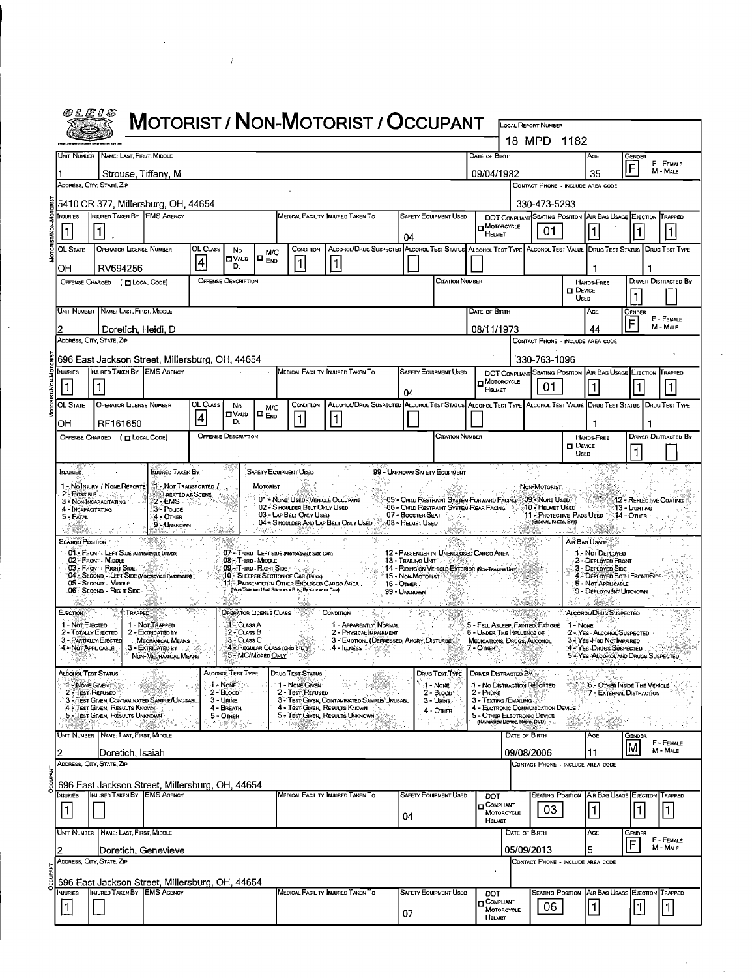| @LEIS                                                             |                                                                                                    |                                                                   |               |                                              |                                         |                                                                                                                                                                                                | <b>MOTORIST / NON-MOTORIST / OCCUPANT</b>                                                                                    |                                                  |                                                                                       |             |                                                           |               |                                                                   |                          |                                                                                   |                              |                             |
|-------------------------------------------------------------------|----------------------------------------------------------------------------------------------------|-------------------------------------------------------------------|---------------|----------------------------------------------|-----------------------------------------|------------------------------------------------------------------------------------------------------------------------------------------------------------------------------------------------|------------------------------------------------------------------------------------------------------------------------------|--------------------------------------------------|---------------------------------------------------------------------------------------|-------------|-----------------------------------------------------------|---------------|-------------------------------------------------------------------|--------------------------|-----------------------------------------------------------------------------------|------------------------------|-----------------------------|
|                                                                   |                                                                                                    |                                                                   |               |                                              |                                         |                                                                                                                                                                                                |                                                                                                                              |                                                  |                                                                                       |             |                                                           |               | <b>LOCAL REPORT NUMBER</b><br>18 MPD 1182                         |                          |                                                                                   |                              |                             |
|                                                                   | UNIT NUMBER NAME: LAST FIRST, MIDDLE                                                               |                                                                   |               |                                              |                                         |                                                                                                                                                                                                |                                                                                                                              |                                                  |                                                                                       |             | DATE OF BIRTH                                             |               |                                                                   |                          | AGE                                                                               | Gender                       |                             |
|                                                                   | Strouse, Tiffany, M                                                                                |                                                                   |               |                                              |                                         |                                                                                                                                                                                                |                                                                                                                              |                                                  |                                                                                       |             | 09/04/1982                                                |               |                                                                   |                          | 35                                                                                | F                            | F - FEMALE<br>M - MALE      |
|                                                                   | ADDRESS, CITY, STATE, ZIP                                                                          |                                                                   |               |                                              |                                         |                                                                                                                                                                                                |                                                                                                                              |                                                  |                                                                                       |             |                                                           |               |                                                                   |                          | CONTACT PHONE - INCLUDE AREA CODE                                                 |                              |                             |
| <b>INJURIES</b>                                                   | 5410 CR 377, Millersburg, OH, 44654<br>INJURED TAKEN BY EMS AGENCY                                 |                                                                   |               |                                              |                                         |                                                                                                                                                                                                | MEDICAL FACILITY INJURED TAKEN TO                                                                                            |                                                  | <b>SAFETY EQUIPMENT USED</b>                                                          |             |                                                           |               | 330-473-5293                                                      |                          | DOT COMPLIANT SEATING POSITION AR BAG USAGE EJECTION TRAPPED                      |                              |                             |
| 1                                                                 |                                                                                                    |                                                                   |               |                                              |                                         |                                                                                                                                                                                                |                                                                                                                              |                                                  |                                                                                       |             | <b>H</b> MOTORCYCLE<br>HELMET                             |               | 01                                                                |                          |                                                                                   |                              |                             |
| <b>OL STATE</b>                                                   | <b>OPERATOR LICENSE NUMBER</b>                                                                     |                                                                   | OL CLASS      | No                                           | M/C                                     | Сомоглом                                                                                                                                                                                       | ALCOHOL/DRUG SUSPECTED ALCOHOL TEST STATUS ALCOHOL TEST TYPE ALCOHOL TEST VALUE DRUG TEST STATUS   DRUG TEST TYPE            | 04                                               |                                                                                       |             |                                                           |               |                                                                   |                          |                                                                                   |                              |                             |
| OН                                                                | RV694256                                                                                           |                                                                   | 4             | <b>OVALD</b><br>DL.                          | IO <sub>Eno</sub>                       | 1                                                                                                                                                                                              | $\vert$ 1                                                                                                                    |                                                  |                                                                                       |             |                                                           |               |                                                                   |                          |                                                                                   |                              |                             |
|                                                                   | OFFENSE CHARGED ( T LOCAL CODE)                                                                    |                                                                   |               | <b>OFFENSE DESCRIPTION</b>                   |                                         |                                                                                                                                                                                                |                                                                                                                              |                                                  | CITATION NUMBER                                                                       |             |                                                           |               |                                                                   | $\square$ Device         | <b>HANDS FREE</b>                                                                 |                              | <b>DRIVER DISTRACTED BY</b> |
|                                                                   |                                                                                                    |                                                                   |               |                                              |                                         |                                                                                                                                                                                                |                                                                                                                              |                                                  |                                                                                       |             |                                                           |               |                                                                   | <b>UsED</b>              |                                                                                   |                              |                             |
|                                                                   | UNIT NUMBER NAME: LAST, FIRST, MIDDLE                                                              |                                                                   |               |                                              |                                         |                                                                                                                                                                                                |                                                                                                                              |                                                  |                                                                                       |             | Date of Birth                                             |               |                                                                   |                          | Age                                                                               | Gender<br>F                  | F - FENALE<br>M - MALE      |
|                                                                   | Doretich, Heidi, D<br>ADDRESS, CITY, STATE, ZIP                                                    |                                                                   |               |                                              |                                         |                                                                                                                                                                                                |                                                                                                                              |                                                  |                                                                                       |             | 08/11/1973                                                |               |                                                                   |                          | 44<br>CONTACT PHONE - INCLUDE AREA CODE                                           |                              |                             |
|                                                                   | 696 East Jackson Street, Millersburg, OH, 44654                                                    |                                                                   |               |                                              |                                         |                                                                                                                                                                                                |                                                                                                                              |                                                  |                                                                                       |             |                                                           |               | 330-763-1096                                                      |                          |                                                                                   |                              |                             |
| NJURIES                                                           | INJURED TAKEN BY EMS AGENCY                                                                        |                                                                   |               |                                              |                                         |                                                                                                                                                                                                | MEDICAL FACILITY INJURED TAKEN TO                                                                                            |                                                  | <b>SAFETY EQUIPMENT USED</b>                                                          |             | <b>n</b> Motorcycle                                       |               |                                                                   |                          | DOT COMPLIANT SEATING POSITION AIR BAG USAGE EJECTION TRAPPED                     |                              |                             |
|                                                                   |                                                                                                    |                                                                   |               |                                              |                                         |                                                                                                                                                                                                |                                                                                                                              | 04                                               |                                                                                       |             | HELMET                                                    |               | 01                                                                |                          |                                                                                   |                              |                             |
| <b>OL STATE</b>                                                   | <b>OPERATOR LICENSE NUMBER</b>                                                                     |                                                                   | OL CLASS<br>4 | No<br>ם∪∧⊔ם<br>DL.                           | <b>M/C</b><br>$\square$ $_{\text{Env}}$ | CONDITION<br>$\vert$ 1                                                                                                                                                                         | ALCOHOL/DRUG SUSPECTED ALCOHOL TEST STATUS ALCOHOL TEST TYPE ALCOHOL TEST VALUE DRUG TEST STATUS DRUG TEST TYPE<br>$\vert$ 1 |                                                  |                                                                                       |             |                                                           |               |                                                                   |                          |                                                                                   |                              |                             |
| OH                                                                | RF161650<br>OFFENSE CHARGED ( [ LOCAL CODE)                                                        |                                                                   |               | <b>OFFENSE DESCRIPTION</b>                   |                                         |                                                                                                                                                                                                |                                                                                                                              |                                                  | <b>CITATION NUMBER</b>                                                                |             |                                                           |               |                                                                   |                          | <b>HANDS-FREE</b>                                                                 |                              | <b>DRIVER DISTRACTED BY</b> |
|                                                                   |                                                                                                    |                                                                   |               |                                              |                                         |                                                                                                                                                                                                |                                                                                                                              |                                                  |                                                                                       |             |                                                           |               |                                                                   | $\square$ Device<br>Usen |                                                                                   |                              |                             |
| <b>INJURIES</b>                                                   |                                                                                                    | INJURED TAKEN BY                                                  |               |                                              |                                         | <b>SAFETY EQUIPMENT USED</b>                                                                                                                                                                   |                                                                                                                              |                                                  | 99 - UNKNOWN SAFETY EQUIPMENT                                                         |             |                                                           |               |                                                                   |                          |                                                                                   |                              |                             |
|                                                                   | 1 - NO Injury / None Reporte<br>$2 - Poisson < \frac{1}{2}$                                        | <b>At - Not Transported /</b><br>TREATED AT SCENE                 |               |                                              | <b>MOTORIST</b>                         |                                                                                                                                                                                                |                                                                                                                              |                                                  |                                                                                       |             |                                                           |               | Non-Motorist                                                      |                          |                                                                                   |                              |                             |
| 4 - INCAPACITATING<br>5 - FATAL                                   | 3 - NON-INCAPACITATING                                                                             | 2-EMS<br>3- Pouce<br>4 - OTHER                                    |               |                                              |                                         | 01 - NONE USED - VEHICLE OCCUPANT<br>02 - SHOULDER BELT ONLY USED<br>03 - LAP BELT ONLY USED                                                                                                   |                                                                                                                              | 07 - BOOSTER SEAT                                | 05 - CHILD RESTRAINT SYSTEM-FORWARD FACING<br>06 - CHILD RESTRAINT SYSTEM-REAR FACING |             |                                                           | -8,           | 09 - None Usen<br>-10 - Helmet Used.<br>11 - PROTECTIVE PADS USED |                          |                                                                                   | .13 - Lia mina<br>14 - Отнев | 12 - REFLECTIVE COATING     |
|                                                                   |                                                                                                    | 9 - Unknown                                                       |               |                                              |                                         | - 28                                                                                                                                                                                           | 04 - S HOULDER AND LAP BELT ONLY USED                                                                                        | 08 - Helmet Useo                                 |                                                                                       |             |                                                           |               | (ELBOWS, KNEES, ETC)                                              |                          |                                                                                   |                              |                             |
| <b>SEATING POSITION</b>                                           | 01 - FRONT - LEFT SIDE (MOTORCYCLE DRIVER)                                                         |                                                                   |               |                                              |                                         | 07 - THIRD - LEFT SIDE (Motorcycle Side CAR)                                                                                                                                                   |                                                                                                                              |                                                  | 12 - PASSENGER IN UNENCLOSED CARGO AREA                                               |             |                                                           |               |                                                                   |                          | AIR BAG USAGE<br>1 - Not Deployed                                                 |                              |                             |
|                                                                   | 02 - FRONT MIDDLE<br>03 - Front - Right Side.                                                      |                                                                   |               | 08 - Third - Middle<br>09.-THIRD-RIGHT SIDE: |                                         |                                                                                                                                                                                                |                                                                                                                              | 13 - TRAILING UNIT                               | "14 - RIDING ON VEHICLE EXTERIOR (NON-TRAILER LINT)                                   |             |                                                           |               |                                                                   |                          | 2 - DEPLOYED FRONT<br>3 - DEPLOYED SIDE                                           |                              |                             |
|                                                                   | 04 - SECOND - LEFT SIDE (MOTORCYCLE PASSENGER)<br>05 - SECOND - MIDDLE<br>06 - Second - Right Side |                                                                   |               |                                              |                                         | 10 - SLEEPER SECTION OF CAB (TRUCK)<br>11 - PASSENGER IN OTHER ENCLOSED CARGO AREA<br>(NOI-TRAILING UNIT SUCH AS A BUS, PICK-UP WITH CAP)                                                      |                                                                                                                              | 15 - Non-Motorist<br>16 - Отнев.<br>99 - UNKNOWN |                                                                                       |             |                                                           |               |                                                                   |                          | 4 - DEPLOYED BOTH FRONT/SIDE<br>5 - Not APPLICABLE<br>9 - DEPLOYMENT UNKNOWN      |                              |                             |
|                                                                   |                                                                                                    |                                                                   |               |                                              |                                         |                                                                                                                                                                                                |                                                                                                                              |                                                  |                                                                                       |             |                                                           |               |                                                                   |                          |                                                                                   |                              |                             |
| <b>EJECTION</b><br>1 - Not E JECTED                               | TRAPPED                                                                                            | 1 Not Trapped                                                     |               | OPERATOR LICENSE CLASS<br>ୀ - Cuss A         |                                         |                                                                                                                                                                                                | <b>CONDITION</b><br>1 - APPARENTLY NORMAL                                                                                    |                                                  |                                                                                       |             |                                                           |               | 5 - FELL ASLEEP, FAINTED, FATIGUE                                 | 1 - None                 | ALCOHOL/DRUG SUSPECTED                                                            |                              |                             |
| 2 - TOTALLY EJECTED<br>3 - PARTIALLY EJECTED<br>4 - Not Appucable |                                                                                                    | 2 - EXTRICATED BY<br><b>MECHANICAL MEANS</b><br>3 - EXTRIGATED BY |               | 2 - CLASS B<br>3 - CLASS C                   |                                         | 4 - REGULAR CLASS (Oriols TD")                                                                                                                                                                 | 2 - PHYSICAL IMPAIRMENT<br>3 - EMOTIONI (DEPRESSED, ANGRY, DISTURBE)<br>.4 - ILINESS 8                                       |                                                  |                                                                                       | 7 - OTHER   | 6 - UNDER THE INFLUENCE OF<br>MEDICATIONS, DRUGS, ALCOHOL |               |                                                                   |                          | 2 - Yes - Alcohol Suspected<br>3 - YES Han NorIMPAIRED<br>4 - Yes Drugs Suspected |                              |                             |
|                                                                   |                                                                                                    | NON-MECHANICAL MEANS                                              |               | 5 - MC/MoPED ONLY<br>73%)~.                  |                                         |                                                                                                                                                                                                |                                                                                                                              |                                                  |                                                                                       |             |                                                           |               |                                                                   |                          | 5 - YES ALCOHOL AND DRUGS SUSPECTED                                               |                              |                             |
| ALCOHOL TEST STATUS<br>1 - Nove Given                             |                                                                                                    |                                                                   |               | Alcohoi Test Type<br>1 - None                |                                         | <b>DRUG TEST STATUS</b><br>1 - NONE GIVEN                                                                                                                                                      |                                                                                                                              |                                                  | DRUG TEST TYPE<br>1 - None                                                            |             | <b>DRIVER DISTRACTED BY</b>                               |               | 1 - No Distraction Reported                                       |                          | 6 - OTHER INSIDE THE VEHICLE                                                      |                              |                             |
| 2 - Test Rerused                                                  | 3 - TEST GIVEN, CONTAMINATED SAMPLE/UNUSABL                                                        |                                                                   |               | 2 - BLOOD<br>3 - URINE                       |                                         | 2 - Test Rerusen                                                                                                                                                                               | 3 - TEST GIVEN, CONTAMINATED SAMPLE/UNUSABL                                                                                  |                                                  | $2 - B$ Loop<br>3 - URINE                                                             | $2 -$ Phone | 3 - TEXTING/EMAILING                                      |               |                                                                   |                          | 7 - EXTERNAL DISTRACTION                                                          |                              |                             |
|                                                                   | 4 - Test Given, Results Known<br>5 - TEST GIVEN, RESULTS UNKNOWN                                   |                                                                   |               | 4 - BREATH<br>5 - Other                      |                                         | 4 - TEST GIVEN, RESULTS KNOWN                                                                                                                                                                  | 5 - TEST GIVEN RESULTS UNKNOWN                                                                                               |                                                  | $4 -$ Oner                                                                            |             | (NAMGATION DEVICE, RADIO, DVD)                            |               | 4 - ELCTRONIC COMMUNICATION DEVICE<br>5 - OTHER ELECTRONIC DEVICE |                          |                                                                                   |                              |                             |
|                                                                   | 했어? 사비에<br>UNIT NUMBER NAME: LAST, FIRST, MIDDLE                                                   |                                                                   |               |                                              |                                         | $\mathcal{L}^{\mathcal{L}}(\mathcal{L}^{\mathcal{L}}_{\mathcal{L}}(\mathcal{L}^{\mathcal{L}}_{\mathcal{L}}),\mathcal{L}^{\mathcal{L}}_{\mathcal{L}}(\mathcal{L}^{\mathcal{L}}_{\mathcal{L}}))$ |                                                                                                                              |                                                  |                                                                                       |             |                                                           | DATE OF BIRTH |                                                                   |                          | AGE                                                                               | Gender                       |                             |
|                                                                   | Doretich, Isaiah                                                                                   |                                                                   |               |                                              |                                         |                                                                                                                                                                                                |                                                                                                                              |                                                  |                                                                                       |             |                                                           |               | 09/08/2006                                                        |                          | 11                                                                                |                              | F - FEMALE<br>M - MALE      |
|                                                                   | ADDRESS, CITY, STATE, ZIP                                                                          |                                                                   |               |                                              |                                         |                                                                                                                                                                                                |                                                                                                                              |                                                  |                                                                                       |             |                                                           |               |                                                                   |                          | CONTAGT PHONE - INCLUDE AREA CODE                                                 |                              |                             |
| <b>Injuries</b>                                                   | 696 East Jackson Street, Millersburg, OH, 44654<br>INJURED TAKEN BY EMS AGENCY                     |                                                                   |               |                                              |                                         |                                                                                                                                                                                                | Medical Facility Injured Taken To                                                                                            |                                                  | <b>SAFETY EQUIPMENT USED</b>                                                          |             | DOT                                                       |               |                                                                   |                          | <b>SEATING POSITION AIR BAG USAGE EJECTION</b>                                    |                              | TRAPPED                     |
| 1                                                                 |                                                                                                    |                                                                   |               |                                              |                                         |                                                                                                                                                                                                |                                                                                                                              | 04                                               |                                                                                       |             | <b>D</b> COMPLIANT<br>MOTORCYCLE                          |               | 03                                                                |                          | 1                                                                                 | 1                            | 1                           |
|                                                                   | Unit Number   Name: Last, First, Middle                                                            |                                                                   |               |                                              |                                         |                                                                                                                                                                                                |                                                                                                                              |                                                  |                                                                                       |             | HELMET                                                    | DATE OF BIRTH |                                                                   |                          | AGE                                                                               | Gender                       |                             |
|                                                                   | Doretich, Genevieve                                                                                |                                                                   |               |                                              |                                         |                                                                                                                                                                                                |                                                                                                                              |                                                  |                                                                                       |             |                                                           |               | 05/09/2013                                                        |                          | 5                                                                                 |                              | F - FEMALE<br>M - MALE      |
|                                                                   | ADDRESS, CITY, STATE, ZIP                                                                          |                                                                   |               |                                              |                                         |                                                                                                                                                                                                |                                                                                                                              |                                                  |                                                                                       |             |                                                           |               |                                                                   |                          | CONTACT PHONE - INCLUDE AREA CODE                                                 |                              |                             |
|                                                                   | 696 East Jackson Street, Millersburg, OH, 44654<br>INJURED TAKEN BY EMS AGENCY                     |                                                                   |               |                                              |                                         |                                                                                                                                                                                                |                                                                                                                              |                                                  |                                                                                       |             |                                                           |               |                                                                   |                          |                                                                                   |                              |                             |
| <b>NJURIES</b><br>1                                               |                                                                                                    |                                                                   |               |                                              |                                         |                                                                                                                                                                                                | Medical Facility Injured Taken To                                                                                            |                                                  | SAFETY EQUIPMENT USED                                                                 |             | DOT<br>$\square$ COMPLIANT<br>MOTORCYCLE                  |               | 06                                                                |                          | <b>SEATING POSITION AR BAG USAGE EJECTION TRAPPED</b>                             |                              |                             |
|                                                                   |                                                                                                    |                                                                   |               |                                              |                                         |                                                                                                                                                                                                |                                                                                                                              | 07                                               |                                                                                       |             | HELMET                                                    |               |                                                                   |                          |                                                                                   |                              |                             |

 $\frac{1}{\sqrt{2}}$